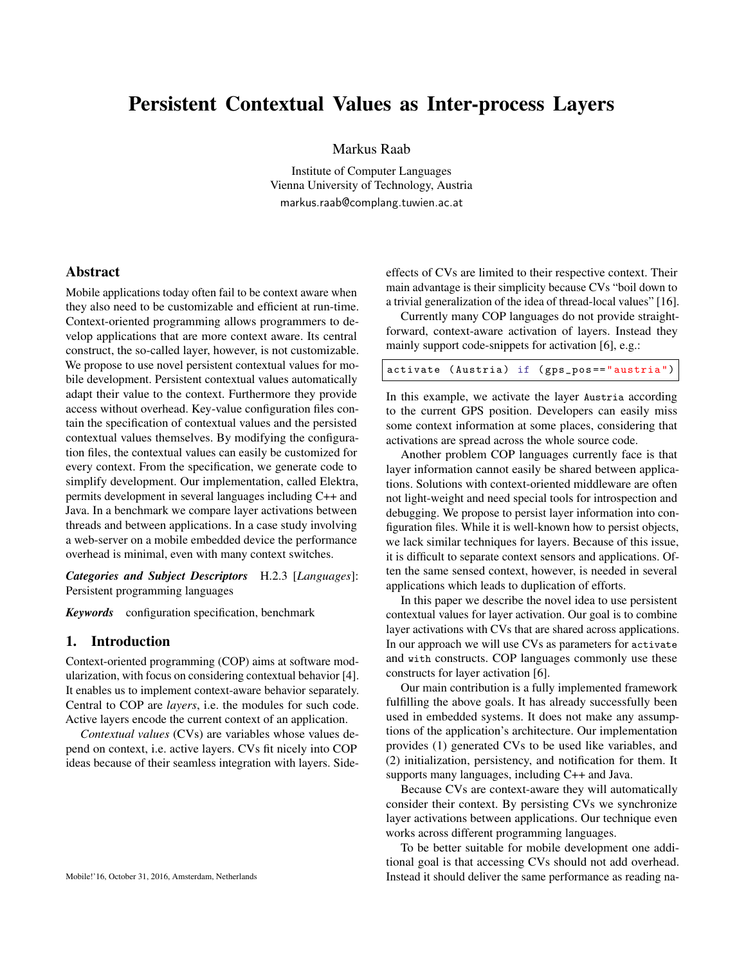# Persistent Contextual Values as Inter-process Layers

Markus Raab

Institute of Computer Languages Vienna University of Technology, Austria markus.raab@complang.tuwien.ac.at

## Abstract

Mobile applications today often fail to be context aware when they also need to be customizable and efficient at run-time. Context-oriented programming allows programmers to develop applications that are more context aware. Its central construct, the so-called layer, however, is not customizable. We propose to use novel persistent contextual values for mobile development. Persistent contextual values automatically adapt their value to the context. Furthermore they provide access without overhead. Key-value configuration files contain the specification of contextual values and the persisted contextual values themselves. By modifying the configuration files, the contextual values can easily be customized for every context. From the specification, we generate code to simplify development. Our implementation, called Elektra, permits development in several languages including C++ and Java. In a benchmark we compare layer activations between threads and between applications. In a case study involving a web-server on a mobile embedded device the performance overhead is minimal, even with many context switches.

*Categories and Subject Descriptors* H.2.3 [*Languages*]: Persistent programming languages

*Keywords* configuration specification, benchmark

## 1. Introduction

Context-oriented programming (COP) aims at software modularization, with focus on considering contextual behavior [\[4\]](#page-7-0). It enables us to implement context-aware behavior separately. Central to COP are *layers*, i.e. the modules for such code. Active layers encode the current context of an application.

*Contextual values* (CVs) are variables whose values depend on context, i.e. active layers. CVs fit nicely into COP ideas because of their seamless integration with layers. Side-

effects of CVs are limited to their respective context. Their main advantage is their simplicity because CVs "boil down to a trivial generalization of the idea of thread-local values" [\[16\]](#page-7-1).

Currently many COP languages do not provide straightforward, context-aware activation of layers. Instead they mainly support code-snippets for activation [\[6\]](#page-7-2), e.g.:

activate (Austria) if (gps\_pos == "austria")

In this example, we activate the layer Austria according to the current GPS position. Developers can easily miss some context information at some places, considering that activations are spread across the whole source code.

Another problem COP languages currently face is that layer information cannot easily be shared between applications. Solutions with context-oriented middleware are often not light-weight and need special tools for introspection and debugging. We propose to persist layer information into configuration files. While it is well-known how to persist objects, we lack similar techniques for layers. Because of this issue, it is difficult to separate context sensors and applications. Often the same sensed context, however, is needed in several applications which leads to duplication of efforts.

In this paper we describe the novel idea to use persistent contextual values for layer activation. Our goal is to combine layer activations with CVs that are shared across applications. In our approach we will use CVs as parameters for activate and with constructs. COP languages commonly use these constructs for layer activation [\[6\]](#page-7-2).

Our main contribution is a fully implemented framework fulfilling the above goals. It has already successfully been used in embedded systems. It does not make any assumptions of the application's architecture. Our implementation provides (1) generated CVs to be used like variables, and (2) initialization, persistency, and notification for them. It supports many languages, including C++ and Java.

Because CVs are context-aware they will automatically consider their context. By persisting CVs we synchronize layer activations between applications. Our technique even works across different programming languages.

To be better suitable for mobile development one additional goal is that accessing CVs should not add overhead. Instead it should deliver the same performance as reading na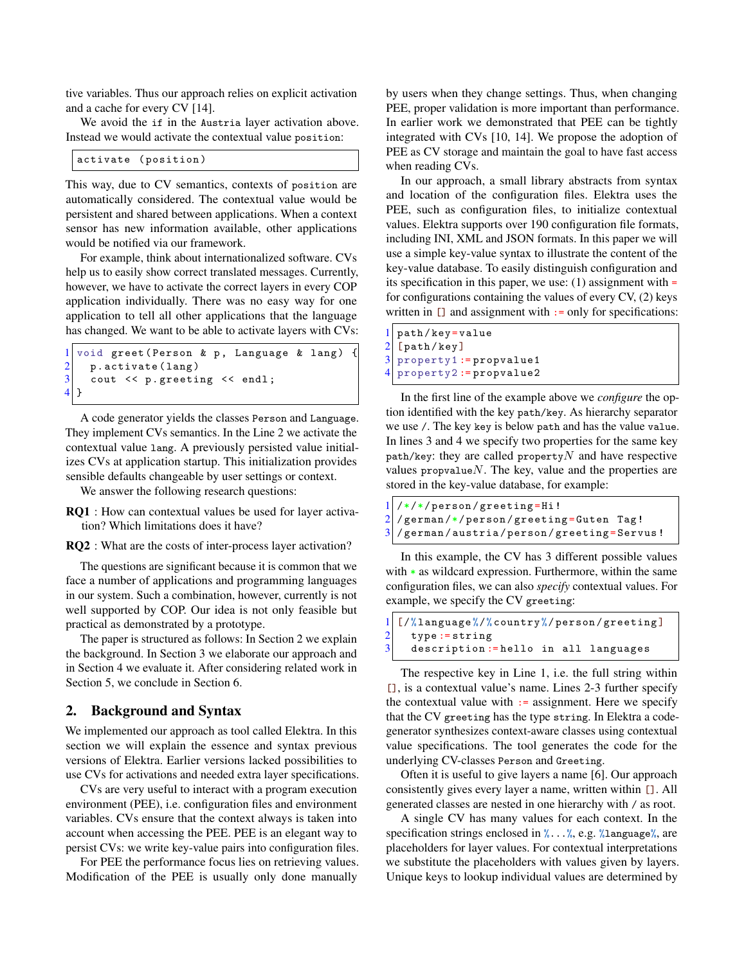tive variables. Thus our approach relies on explicit activation and a cache for every CV [\[14\]](#page-7-3).

We avoid the if in the Austria layer activation above. Instead we would activate the contextual value position:

```
activate ( position )
```
This way, due to CV semantics, contexts of position are automatically considered. The contextual value would be persistent and shared between applications. When a context sensor has new information available, other applications would be notified via our framework.

For example, think about internationalized software. CVs help us to easily show correct translated messages. Currently, however, we have to activate the correct layers in every COP application individually. There was no easy way for one application to tell all other applications that the language has changed. We want to be able to activate layers with CVs:

```
1 void greet (Person & p, Language & lang) {
2 p. activate (lang)
3 cout \lt\lt p. greeting \lt\lt endl;
4 }
```
A code generator yields the classes Person and Language. They implement CVs semantics. In the Line 2 we activate the contextual value lang. A previously persisted value initializes CVs at application startup. This initialization provides sensible defaults changeable by user settings or context.

We answer the following research questions:

- RQ1 : How can contextual values be used for layer activation? Which limitations does it have?
- RQ2 : What are the costs of inter-process layer activation?

The questions are significant because it is common that we face a number of applications and programming languages in our system. Such a combination, however, currently is not well supported by COP. Our idea is not only feasible but practical as demonstrated by a prototype.

The paper is structured as follows: In Section [2](#page-1-0) we explain the background. In Section [3](#page-2-0) we elaborate our approach and in Section [4](#page-4-0) we evaluate it. After considering related work in Section [5,](#page-6-0) we conclude in Section [6.](#page-6-1)

# <span id="page-1-0"></span>2. Background and Syntax

We implemented our approach as tool called Elektra. In this section we will explain the essence and syntax previous versions of Elektra. Earlier versions lacked possibilities to use CVs for activations and needed extra layer specifications.

CVs are very useful to interact with a program execution environment (PEE), i.e. configuration files and environment variables. CVs ensure that the context always is taken into account when accessing the PEE. PEE is an elegant way to persist CVs: we write key-value pairs into configuration files.

For PEE the performance focus lies on retrieving values. Modification of the PEE is usually only done manually

by users when they change settings. Thus, when changing PEE, proper validation is more important than performance. In earlier work we demonstrated that PEE can be tightly integrated with CVs [\[10,](#page-7-4) [14\]](#page-7-3). We propose the adoption of PEE as CV storage and maintain the goal to have fast access when reading CVs.

In our approach, a small library abstracts from syntax and location of the configuration files. Elektra uses the PEE, such as configuration files, to initialize contextual values. Elektra supports over 190 configuration file formats, including INI, XML and JSON formats. In this paper we will use a simple key-value syntax to illustrate the content of the key-value database. To easily distinguish configuration and its specification in this paper, we use:  $(1)$  assignment with = for configurations containing the values of every CV, (2) keys written in  $[]$  and assignment with  $:=$  only for specifications:

```
path/key=value
2 [path/key]
3 property1 := propvalue1
4 property2 := propvalue2
```
In the first line of the example above we *configure* the option identified with the key path/key. As hierarchy separator we use /. The key key is below path and has the value value. In lines 3 and 4 we specify two properties for the same key path/key: they are called property  $N$  and have respective values propvalue $N$ . The key, value and the properties are stored in the key-value database, for example:

```
1 / \frac{\ast}{\ast}/person/greeting=Hi!
2 / german / * / person / greeting = Guten Tag!
  / german/austria/ person/greeting=Servus!
```
In this example, the CV has 3 different possible values with  $*$  as wildcard expression. Furthermore, within the same configuration files, we can also *specify* contextual values. For example, we specify the CV greeting:

|                | l [/%language%/%country%/person/greeting] |
|----------------|-------------------------------------------|
|                | $2$ type:=string                          |
| 3 <sup>1</sup> | description:=hello in all languages       |

The respective key in Line 1, i.e. the full string within [], is a contextual value's name. Lines 2-3 further specify the contextual value with  $:=$  assignment. Here we specify that the CV greeting has the type string. In Elektra a codegenerator synthesizes context-aware classes using contextual value specifications. The tool generates the code for the underlying CV-classes Person and Greeting.

Often it is useful to give layers a name [\[6\]](#page-7-2). Our approach consistently gives every layer a name, written within []. All generated classes are nested in one hierarchy with / as root.

A single CV has many values for each context. In the specification strings enclosed in %...%, e.g. %language%, are placeholders for layer values. For contextual interpretations we substitute the placeholders with values given by layers. Unique keys to lookup individual values are determined by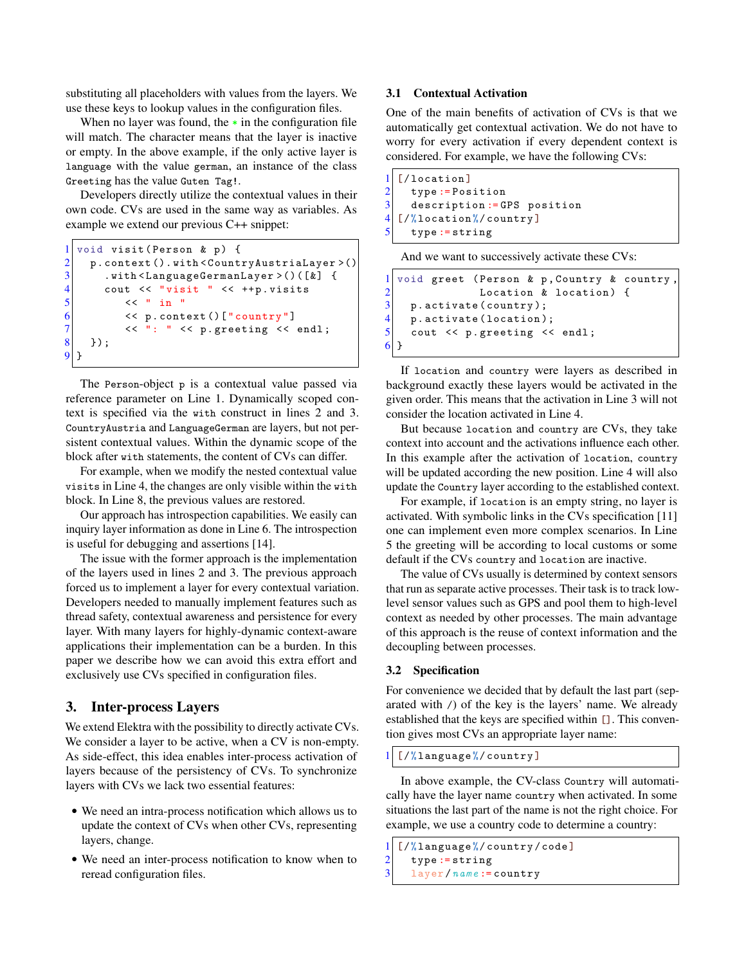substituting all placeholders with values from the layers. We use these keys to lookup values in the configuration files.

When no layer was found, the  $\ast$  in the configuration file will match. The character means that the layer is inactive or empty. In the above example, if the only active layer is language with the value german, an instance of the class Greeting has the value Guten Tag!.

Developers directly utilize the contextual values in their own code. CVs are used in the same way as variables. As example we extend our previous C++ snippet:

```
1 void visit (Person & p) {
2 p.context (). with < CountryAustriaLayer >()<br>3 with < Language GermanLayer >() ([k] {
        3 . with < LanguageGermanLayer >()([&] {
4 cout << "visit " << ++p.visits
5 \leq " in "
6 <br> \leq p. context () ["country"]
7 \lt\lt ": " \lt\lt p.greeting \lt\lt endl;
\begin{bmatrix} 8 \\ 9 \end{bmatrix}} } };
  9 }
```
The Person-object p is a contextual value passed via reference parameter on Line 1. Dynamically scoped context is specified via the with construct in lines 2 and 3. CountryAustria and LanguageGerman are layers, but not persistent contextual values. Within the dynamic scope of the block after with statements, the content of CVs can differ.

For example, when we modify the nested contextual value visits in Line 4, the changes are only visible within the with block. In Line 8, the previous values are restored.

Our approach has introspection capabilities. We easily can inquiry layer information as done in Line 6. The introspection is useful for debugging and assertions [\[14\]](#page-7-3).

The issue with the former approach is the implementation of the layers used in lines 2 and 3. The previous approach forced us to implement a layer for every contextual variation. Developers needed to manually implement features such as thread safety, contextual awareness and persistence for every layer. With many layers for highly-dynamic context-aware applications their implementation can be a burden. In this paper we describe how we can avoid this extra effort and exclusively use CVs specified in configuration files.

## <span id="page-2-0"></span>3. Inter-process Layers

We extend Elektra with the possibility to directly activate CVs. We consider a layer to be active, when a CV is non-empty. As side-effect, this idea enables inter-process activation of layers because of the persistency of CVs. To synchronize layers with CVs we lack two essential features:

- We need an intra-process notification which allows us to update the context of CVs when other CVs, representing layers, change.
- We need an inter-process notification to know when to reread configuration files.

#### 3.1 Contextual Activation

One of the main benefits of activation of CVs is that we automatically get contextual activation. We do not have to worry for every activation if every dependent context is considered. For example, we have the following CVs:

```
[/ location]
2 type:= Position
3 description:=GPS position
4 [/%location%/country]
5 type:= string
```
And we want to successively activate these CVs:

```
1 void greet (Person & p, Country & country
2 Location & location) {
3 p. activate (country);
4 p. activate (location);
5 cout \lt\lt p. greeting \lt\lt endl;
6}
```
If location and country were layers as described in background exactly these layers would be activated in the given order. This means that the activation in Line 3 will not consider the location activated in Line 4.

But because location and country are CVs, they take context into account and the activations influence each other. In this example after the activation of location, country will be updated according the new position. Line 4 will also update the Country layer according to the established context.

For example, if location is an empty string, no layer is activated. With symbolic links in the CVs specification [\[11\]](#page-7-5) one can implement even more complex scenarios. In Line 5 the greeting will be according to local customs or some default if the CVs country and location are inactive.

The value of CVs usually is determined by context sensors that run as separate active processes. Their task is to track lowlevel sensor values such as GPS and pool them to high-level context as needed by other processes. The main advantage of this approach is the reuse of context information and the decoupling between processes.

## 3.2 Specification

For convenience we decided that by default the last part (separated with /) of the key is the layers' name. We already established that the keys are specified within []. This convention gives most CVs an appropriate layer name:

# 1 [/%language%/country]

In above example, the CV-class Country will automatically have the layer name country when activated. In some situations the last part of the name is not the right choice. For example, we use a country code to determine a country:

```
1 [/%language%/country/code]
2 type: = string
    layer / name := country
```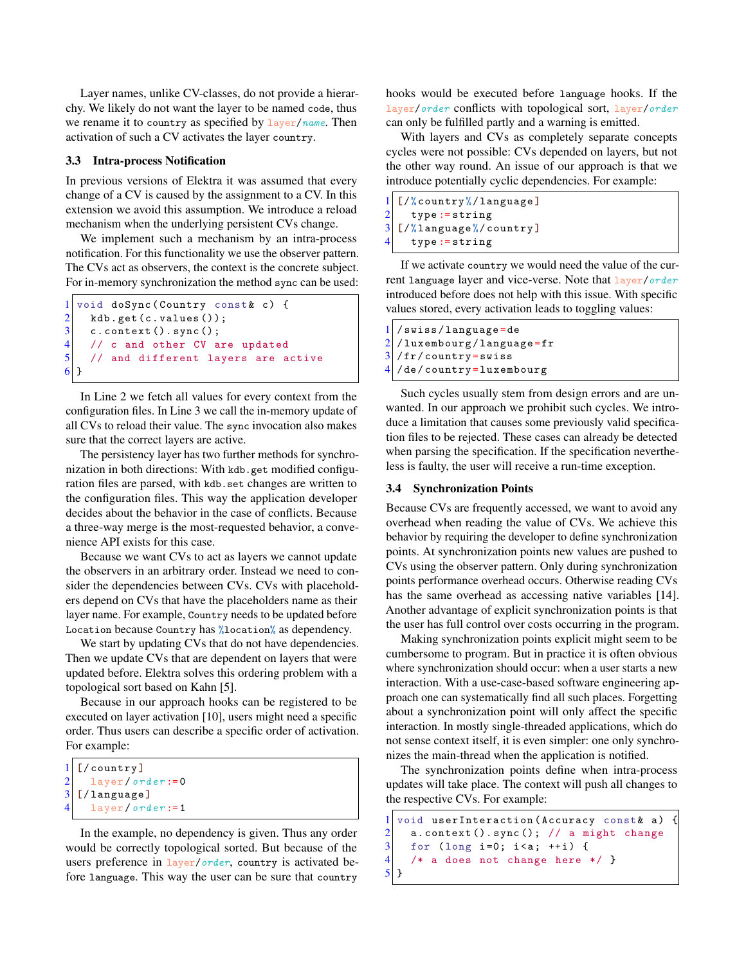Layer names, unlike CV-classes, do not provide a hierarchy. We likely do not want the layer to be named code, thus we rename it to country as specified by layer/name. Then activation of such a CV activates the layer country.

#### 3.3 Intra-process Notification

In previous versions of Elektra it was assumed that every change of a CV is caused by the assignment to a CV. In this extension we avoid this assumption. We introduce a reload mechanism when the underlying persistent CVs change.

We implement such a mechanism by an intra-process notification. For this functionality we use the observer pattern. The CVs act as observers, the context is the concrete subject. For in-memory synchronization the method sync can be used:

```
1 void doSync (Country const \varepsilon ) {
2 \mid kdb.get (c.values ());
3 c. context (). sync ();
4 // c and other CV are updated
5 // and different layers are active
6}
```
In Line 2 we fetch all values for every context from the configuration files. In Line 3 we call the in-memory update of all CVs to reload their value. The sync invocation also makes sure that the correct layers are active.

The persistency layer has two further methods for synchronization in both directions: With kdb.get modified configuration files are parsed, with kdb.set changes are written to the configuration files. This way the application developer decides about the behavior in the case of conflicts. Because a three-way merge is the most-requested behavior, a convenience API exists for this case.

Because we want CVs to act as layers we cannot update the observers in an arbitrary order. Instead we need to consider the dependencies between CVs. CVs with placeholders depend on CVs that have the placeholders name as their layer name. For example, Country needs to be updated before Location because Country has %location% as dependency.

We start by updating CVs that do not have dependencies. Then we update CVs that are dependent on layers that were updated before. Elektra solves this ordering problem with a topological sort based on Kahn [\[5\]](#page-7-6).

Because in our approach hooks can be registered to be executed on layer activation [\[10\]](#page-7-4), users might need a specific order. Thus users can describe a specific order of activation. For example:

```
1 [/country]
2 layer/order:=0
3 [/ language]
4 layer/order:=1
```
In the example, no dependency is given. Thus any order would be correctly topological sorted. But because of the users preference in layer/order, country is activated before language. This way the user can be sure that country

hooks would be executed before language hooks. If the layer/order conflicts with topological sort, layer/order can only be fulfilled partly and a warning is emitted.

With layers and CVs as completely separate concepts cycles were not possible: CVs depended on layers, but not the other way round. An issue of our approach is that we introduce potentially cyclic dependencies. For example:

```
1/% country % / language]
2 type := string
3 [/%language%/country]
    type := string
```
If we activate country we would need the value of the current language layer and vice-verse. Note that layer/order introduced before does not help with this issue. With specific values stored, every activation leads to toggling values:

```
1 / swiss / language =de
2 / luxembourg / language=fr
3 / fr/country=swiss
4 / de / country = luxembourg
```
Such cycles usually stem from design errors and are unwanted. In our approach we prohibit such cycles. We introduce a limitation that causes some previously valid specification files to be rejected. These cases can already be detected when parsing the specification. If the specification nevertheless is faulty, the user will receive a run-time exception.

## 3.4 Synchronization Points

Because CVs are frequently accessed, we want to avoid any overhead when reading the value of CVs. We achieve this behavior by requiring the developer to define synchronization points. At synchronization points new values are pushed to CVs using the observer pattern. Only during synchronization points performance overhead occurs. Otherwise reading CVs has the same overhead as accessing native variables [\[14\]](#page-7-3). Another advantage of explicit synchronization points is that the user has full control over costs occurring in the program.

Making synchronization points explicit might seem to be cumbersome to program. But in practice it is often obvious where synchronization should occur: when a user starts a new interaction. With a use-case-based software engineering approach one can systematically find all such places. Forgetting about a synchronization point will only affect the specific interaction. In mostly single-threaded applications, which do not sense context itself, it is even simpler: one only synchronizes the main-thread when the application is notified.

The synchronization points define when intra-process updates will take place. The context will push all changes to the respective CVs. For example:

```
1 void userInteraction (Accuracy const \alpha a)
2 a. context (). sync (); // a might change
3 for (long i=0; i<a; ++i) {
4 /* a does not change here */ }
5}
```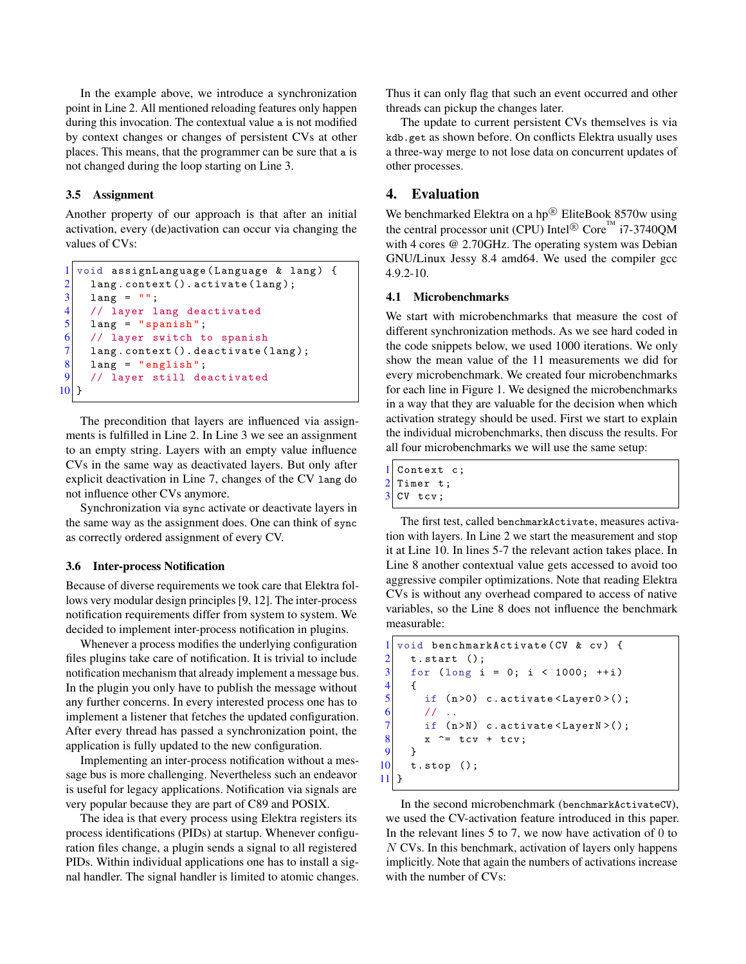In the example above, we introduce a synchronization point in Line 2. All mentioned reloading features only happen during this invocation. The contextual value a is not modified by context changes or changes of persistent CVs at other places. This means, that the programmer can be sure that a is not changed during the loop starting on Line 3.

#### 3.5 Assignment

Another property of our approach is that after an initial activation, every (de)activation can occur via changing the values of CVs:

```
1 void assignLanguage (Language & lang) {
2 lang.context().activate(lang);
 3 lang = ";
 4 // layer lang deactivated
 5 lang = "spanish";
 \begin{array}{c|c} 6 & // \text{ layer switch to spanish} \\ \hline 7 & \text{ lang.context}(), \text{deactivate} \end{array}lang.context().deactivate(lang);
 8 lang = "english";
9 // layer still deactivated
10 }
```
The precondition that layers are influenced via assignments is fulfilled in Line 2. In Line 3 we see an assignment to an empty string. Layers with an empty value influence CVs in the same way as deactivated layers. But only after explicit deactivation in Line 7, changes of the CV lang do not influence other CVs anymore.

Synchronization via sync activate or deactivate layers in the same way as the assignment does. One can think of sync as correctly ordered assignment of every CV.

#### 3.6 Inter-process Notification

Because of diverse requirements we took care that Elektra follows very modular design principles [\[9,](#page-7-7) [12\]](#page-7-8). The inter-process notification requirements differ from system to system. We decided to implement inter-process notification in plugins.

Whenever a process modifies the underlying configuration files plugins take care of notification. It is trivial to include notification mechanism that already implement a message bus. In the plugin you only have to publish the message without any further concerns. In every interested process one has to implement a listener that fetches the updated configuration. After every thread has passed a synchronization point, the application is fully updated to the new configuration.

Implementing an inter-process notification without a message bus is more challenging. Nevertheless such an endeavor is useful for legacy applications. Notification via signals are very popular because they are part of C89 and POSIX.

The idea is that every process using Elektra registers its process identifications (PIDs) at startup. Whenever configuration files change, a plugin sends a signal to all registered PIDs. Within individual applications one has to install a signal handler. The signal handler is limited to atomic changes. Thus it can only flag that such an event occurred and other threads can pickup the changes later.

The update to current persistent CVs themselves is via kdb.get as shown before. On conflicts Elektra usually uses a three-way merge to not lose data on concurrent updates of other processes.

# <span id="page-4-0"></span>4. Evaluation

We benchmarked Elektra on a hp $\mathcal{B}$  EliteBook 8570w using the central processor unit (CPU) Intel<sup>®</sup> Core<sup>™</sup> i7-3740QM with 4 cores @ 2.70GHz. The operating system was Debian GNU/Linux Jessy 8.4 amd64. We used the compiler gcc 4.9.2-10.

#### 4.1 Microbenchmarks

We start with microbenchmarks that measure the cost of different synchronization methods. As we see hard coded in the code snippets below, we used 1000 iterations. We only show the mean value of the 11 measurements we did for every microbenchmark. We created four microbenchmarks for each line in Figure [1.](#page-5-0) We designed the microbenchmarks in a way that they are valuable for the decision when which activation strategy should be used. First we start to explain the individual microbenchmarks, then discuss the results. For all four microbenchmarks we will use the same setup:

```
\begin{array}{c|c} 1 & \text{Context} & c; \\ 2 & \text{Timer} & t: \end{array}Timer t;
3 CV tcv;
```
The first test, called benchmarkActivate, measures activation with layers. In Line 2 we start the measurement and stop it at Line 10. In lines 5-7 the relevant action takes place. In Line 8 another contextual value gets accessed to avoid too aggressive compiler optimizations. Note that reading Elektra CVs is without any overhead compared to access of native variables, so the Line 8 does not influence the benchmark measurable:

```
void benchmarkActivate (CV & cv) {
\begin{array}{c} 2 \\ 3 \end{array} t.start ();<br>3 for (long i
     for (long i = 0; i < 1000; +i)
4 {
5 if (n>0) c.activate < Layer0 > ();
6 / / / ...7 if (n>N) c.activate <LayerN>();
8 x \hat{=} tcv + tcv;
9 }
10 t.stop ();
11}
```
In the second microbenchmark (benchmarkActivateCV), we used the CV-activation feature introduced in this paper. In the relevant lines 5 to 7, we now have activation of 0 to N CVs. In this benchmark, activation of layers only happens implicitly. Note that again the numbers of activations increase with the number of CVs: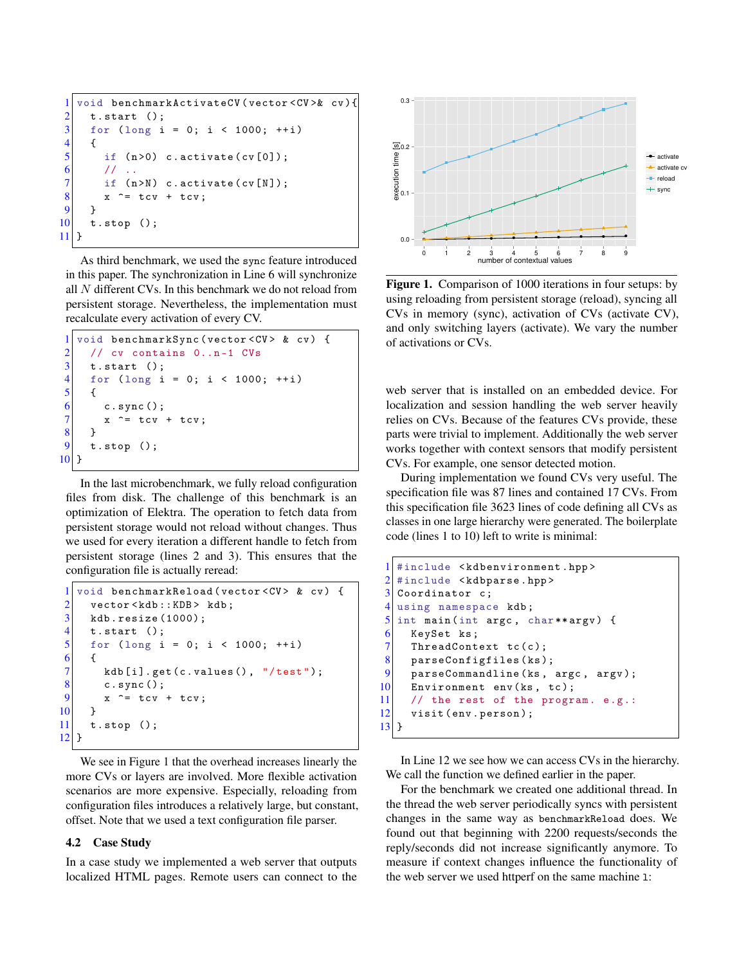```
1 void benchmarkActivateCV (vector < CV > & cv ) {
\begin{array}{c|c} 2 & t . start & (); \\ 3 & for & (long i) \end{array}for (long i = 0; i < 1000; +i)
\frac{4}{5}if (n>0) c. activate (cv [0]);
6 / / /..
 7 if (n>N) c. activate (cv[N]);
8 x \sim tcv + tcv;
9 }
10 t.stop ();
11 }
```
As third benchmark, we used the sync feature introduced in this paper. The synchronization in Line 6 will synchronize all N different CVs. In this benchmark we do not reload from persistent storage. Nevertheless, the implementation must recalculate every activation of every CV.

```
1 void benchmarkSync (vector < CV > & cv) {
2 // cv contains 0 \ldots n-1 CVs
 3 t.start ();
4 for (long i = 0; i < 1000; ++i)
 5 {
\begin{array}{c} 6 \\ 7 \end{array} c.sync();
        x \stackrel{\frown}{=} \text{tcv + tcv};
 8 }
 9 t.stop ();
10 }
```
In the last microbenchmark, we fully reload configuration files from disk. The challenge of this benchmark is an optimization of Elektra. The operation to fetch data from persistent storage would not reload without changes. Thus we used for every iteration a different handle to fetch from persistent storage (lines 2 and 3). This ensures that the configuration file is actually reread:

```
1 void benchmarkReload (vector < CV > & cv) {
2 \times vector < kdb :: KDB > kdb;
3 kdb. resize (1000);
4 t.start ();
5 for (long i = 0; i < 1000; ++i)
\frac{6}{7}kdb [i] . get (c. values () , "/ test");8 c. sync();
9 x \sim tcv + tcv;
10 }
11 t.stop ();
12 }
```
We see in Figure [1](#page-5-0) that the overhead increases linearly the more CVs or layers are involved. More flexible activation scenarios are more expensive. Especially, reloading from configuration files introduces a relatively large, but constant, offset. Note that we used a text configuration file parser.

### 4.2 Case Study

In a case study we implemented a web server that outputs localized HTML pages. Remote users can connect to the



<span id="page-5-0"></span>Figure 1. Comparison of 1000 iterations in four setups: by using reloading from persistent storage (reload), syncing all CVs in memory (sync), activation of CVs (activate CV), and only switching layers (activate). We vary the number of activations or CVs.

web server that is installed on an embedded device. For localization and session handling the web server heavily relies on CVs. Because of the features CVs provide, these parts were trivial to implement. Additionally the web server works together with context sensors that modify persistent CVs. For example, one sensor detected motion.

During implementation we found CVs very useful. The specification file was 87 lines and contained 17 CVs. From this specification file 3623 lines of code defining all CVs as classes in one large hierarchy were generated. The boilerplate code (lines 1 to 10) left to write is minimal:

```
1 #include <kdbenvironment.hpp>
2 \nmid#include <kdbparse.hpp>
3 Coordinator c;
4 using namespace kdb;
5 int main (int argc, char ** argv) {
6 KeySet ks ;
7 ThreadContext tc(c);
8 parseConfigfiles (ks);
9 parseCommandline (ks, argc, argv);
10 Environment env (ks, tc);
11 // the rest of the program. e.g.:
12 visit (env. person);
13}
```
In Line 12 we see how we can access CVs in the hierarchy. We call the function we defined earlier in the paper.

For the benchmark we created one additional thread. In the thread the web server periodically syncs with persistent changes in the same way as benchmarkReload does. We found out that beginning with 2200 requests/seconds the reply/seconds did not increase significantly anymore. To measure if context changes influence the functionality of the web server we used httperf on the same machine l: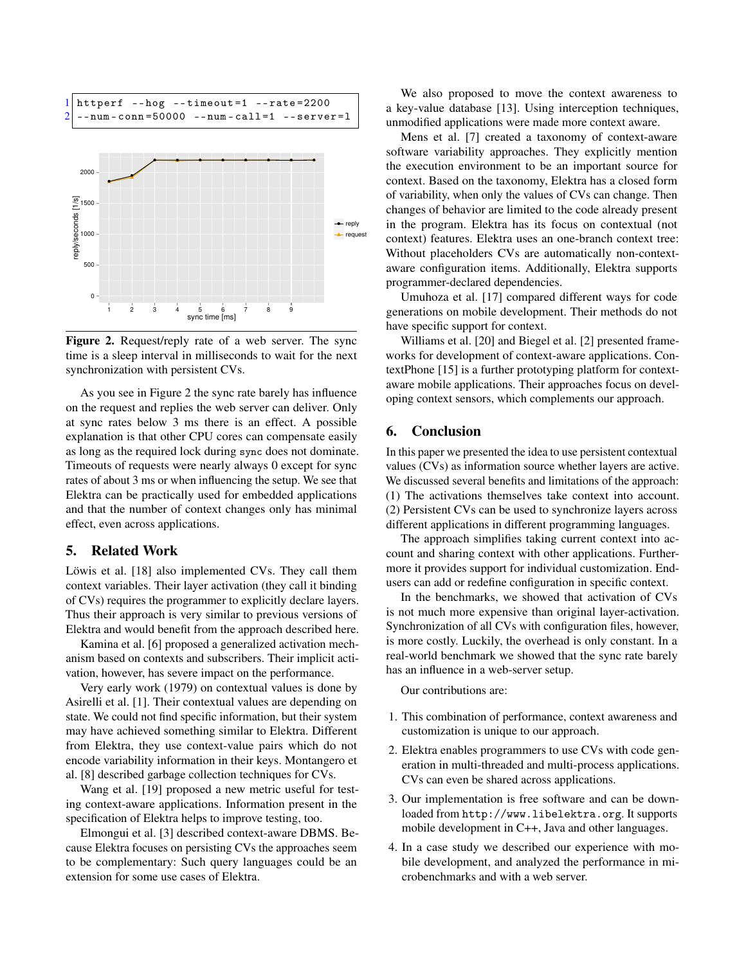

<span id="page-6-2"></span>Figure 2. Request/reply rate of a web server. The sync time is a sleep interval in milliseconds to wait for the next synchronization with persistent CVs.

As you see in Figure [2](#page-6-2) the sync rate barely has influence on the request and replies the web server can deliver. Only at sync rates below 3 ms there is an effect. A possible explanation is that other CPU cores can compensate easily as long as the required lock during sync does not dominate. Timeouts of requests were nearly always 0 except for sync rates of about 3 ms or when influencing the setup. We see that Elektra can be practically used for embedded applications and that the number of context changes only has minimal effect, even across applications.

# <span id="page-6-0"></span>5. Related Work

Löwis et al. [\[18\]](#page-7-9) also implemented CVs. They call them context variables. Their layer activation (they call it binding of CVs) requires the programmer to explicitly declare layers. Thus their approach is very similar to previous versions of Elektra and would benefit from the approach described here.

Kamina et al. [\[6\]](#page-7-2) proposed a generalized activation mechanism based on contexts and subscribers. Their implicit activation, however, has severe impact on the performance.

Very early work (1979) on contextual values is done by Asirelli et al. [\[1\]](#page-7-10). Their contextual values are depending on state. We could not find specific information, but their system may have achieved something similar to Elektra. Different from Elektra, they use context-value pairs which do not encode variability information in their keys. Montangero et al. [\[8\]](#page-7-11) described garbage collection techniques for CVs.

Wang et al. [\[19\]](#page-7-12) proposed a new metric useful for testing context-aware applications. Information present in the specification of Elektra helps to improve testing, too.

Elmongui et al. [\[3\]](#page-7-13) described context-aware DBMS. Because Elektra focuses on persisting CVs the approaches seem to be complementary: Such query languages could be an extension for some use cases of Elektra.

We also proposed to move the context awareness to a key-value database [\[13\]](#page-7-14). Using interception techniques, unmodified applications were made more context aware.

Mens et al. [\[7\]](#page-7-15) created a taxonomy of context-aware software variability approaches. They explicitly mention the execution environment to be an important source for context. Based on the taxonomy, Elektra has a closed form of variability, when only the values of CVs can change. Then changes of behavior are limited to the code already present in the program. Elektra has its focus on contextual (not context) features. Elektra uses an one-branch context tree: Without placeholders CVs are automatically non-contextaware configuration items. Additionally, Elektra supports programmer-declared dependencies.

Umuhoza et al. [\[17\]](#page-7-16) compared different ways for code generations on mobile development. Their methods do not have specific support for context.

Williams et al. [\[20\]](#page-7-17) and Biegel et al. [\[2\]](#page-7-18) presented frameworks for development of context-aware applications. ContextPhone [\[15\]](#page-7-19) is a further prototyping platform for contextaware mobile applications. Their approaches focus on developing context sensors, which complements our approach.

# <span id="page-6-1"></span>6. Conclusion

In this paper we presented the idea to use persistent contextual values (CVs) as information source whether layers are active. We discussed several benefits and limitations of the approach: (1) The activations themselves take context into account. (2) Persistent CVs can be used to synchronize layers across different applications in different programming languages.

The approach simplifies taking current context into account and sharing context with other applications. Furthermore it provides support for individual customization. Endusers can add or redefine configuration in specific context.

In the benchmarks, we showed that activation of CVs is not much more expensive than original layer-activation. Synchronization of all CVs with configuration files, however, is more costly. Luckily, the overhead is only constant. In a real-world benchmark we showed that the sync rate barely has an influence in a web-server setup.

Our contributions are:

- 1. This combination of performance, context awareness and customization is unique to our approach.
- 2. Elektra enables programmers to use CVs with code generation in multi-threaded and multi-process applications. CVs can even be shared across applications.
- 3. Our implementation is free software and can be downloaded from <http://www.libelektra.org>. It supports mobile development in C++, Java and other languages.
- 4. In a case study we described our experience with mobile development, and analyzed the performance in microbenchmarks and with a web server.